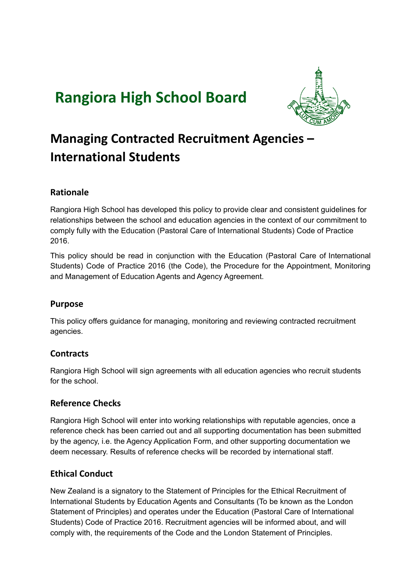# **Rangiora High School Board**



# **Managing Contracted Recruitment Agencies – International Students**

# **Rationale**

Rangiora High School has developed this policy to provide clear and consistent guidelines for relationships between the school and education agencies in the context of our commitment to comply fully with the Education (Pastoral Care of International Students) Code of Practice 2016.

This policy should be read in conjunction with the Education (Pastoral Care of International Students) Code of Practice 2016 (the Code), the Procedure for the Appointment, Monitoring and Management of Education Agents and Agency Agreement.

### **Purpose**

This policy offers guidance for managing, monitoring and reviewing contracted recruitment agencies.

### **Contracts**

Rangiora High School will sign agreements with all education agencies who recruit students for the school.

### **Reference Checks**

Rangiora High School will enter into working relationships with reputable agencies, once a reference check has been carried out and all supporting documentation has been submitted by the agency, i.e. the Agency Application Form, and other supporting documentation we deem necessary. Results of reference checks will be recorded by international staff.

### **Ethical Conduct**

New Zealand is a signatory to the Statement of Principles for the Ethical Recruitment of International Students by Education Agents and Consultants (To be known as the London Statement of Principles) and operates under the Education (Pastoral Care of International Students) Code of Practice 2016. Recruitment agencies will be informed about, and will comply with, the requirements of the Code and the London Statement of Principles.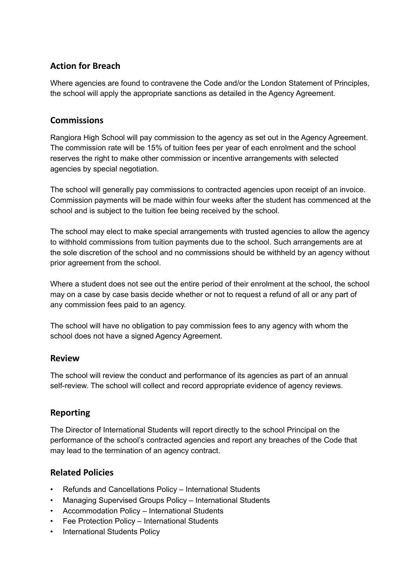# **Action for Breach**

Where agencies are found to contravene the Code and/or the London Statement of Principles, the school will apply the appropriate sanctions as detailed in the Agency Agreement.

# **Commissions**

Rangiora High School will pay commission to the agency as set out in the Agency Agreement. The commission rate will be 15% of tuition fees per year of each enrolment and the school reserves the right to make other commission or incentive arrangements with selected agencies by special negotiation.

The school will generally pay commissions to contracted agencies upon receipt of an invoice. Commission payments will be made within four weeks after the student has commenced at the school and is subject to the tuition fee being received by the school.

The school may elect to make special arrangements with trusted agencies to allow the agency to withhold commissions from tuition payments due to the school. Such arrangements are at the sole discretion of the school and no commissions should be withheld by an agency without prior agreement from the school.

Where a student does not see out the entire period of their enrolment at the school, the school may on a case by case basis decide whether or not to request a refund of all or any part of any commission fees paid to an agency.

The school will have no obligation to pay commission fees to any agency with whom the school does not have a signed Agency Agreement.

### **Review**

The school will review the conduct and performance of its agencies as part of an annual self-review. The school will collect and record appropriate evidence of agency reviews.

# **Reporting**

The Director of International Students will report directly to the school Principal on the performance of the school's contracted agencies and report any breaches of the Code that may lead to the termination of an agency contract.

# **Related Policies**

- Refunds and Cancellations Policy International Students
- Managing Supervised Groups Policy International Students
- Accommodation Policy International Students
- Fee Protection Policy International Students
- International Students Policy